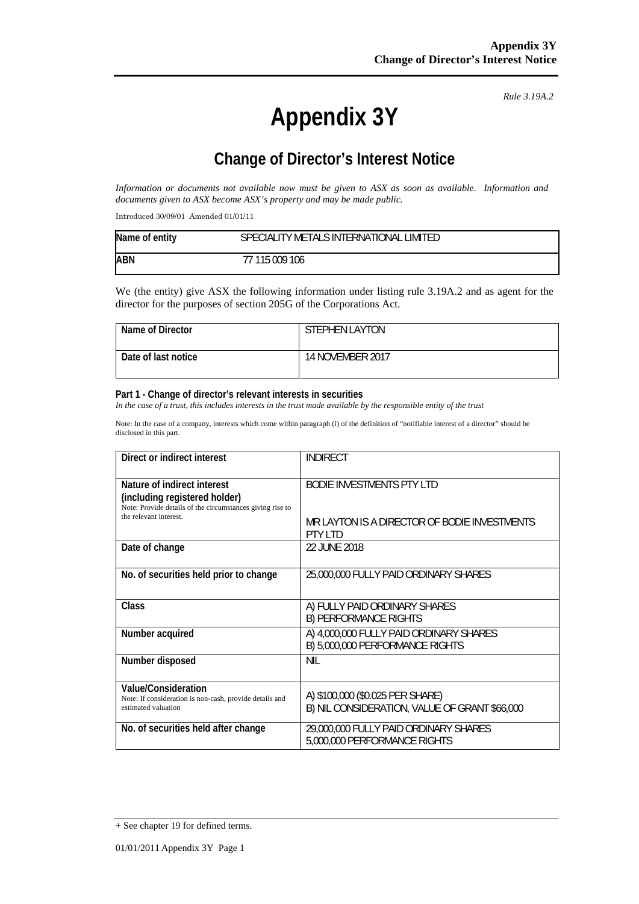# **Appendix 3Y**

*Rule 3.19A.2*

# **Change of Director's Interest Notice**

*Information or documents not available now must be given to ASX as soon as available. Information and documents given to ASX become ASX's property and may be made public.* 

Introduced 30/09/01 Amended 01/01/11

| Name of entity | SPECIALITY METALS INTERNATIONAL LIMITED |
|----------------|-----------------------------------------|
| <b>ABN</b>     | 77 115 009 106                          |

We (the entity) give ASX the following information under listing rule 3.19A.2 and as agent for the director for the purposes of section 205G of the Corporations Act.

| Name of Director    | <b>STEPHEN LAYTON</b>   |
|---------------------|-------------------------|
| Date of last notice | <b>14 NOVEMBER 2017</b> |

#### **Part 1 - Change of director's relevant interests in securities**

In the case of a trust, this includes interests in the trust made available by the responsible entity of the trust

Note: In the case of a company, interests which come within paragraph (i) of the definition of "notifiable interest of a director" should be disclosed in this part.

| Direct or indirect interest                                                                                                                        | <b>INDIRECT</b>                                                                   |  |
|----------------------------------------------------------------------------------------------------------------------------------------------------|-----------------------------------------------------------------------------------|--|
| Nature of indirect interest<br>(including registered holder)<br>Note: Provide details of the circumstances giving rise to<br>the relevant interest | BODIE INVESTMENTS PTY LTD                                                         |  |
|                                                                                                                                                    | MR LAYTON IS A DIRECTOR OF BODIE INVESTMENTS<br>PTY I TD                          |  |
| Date of change                                                                                                                                     | 22 JUNE 2018                                                                      |  |
| No. of securities held prior to change                                                                                                             | 25,000,000 FULLY PAID ORDINARY SHARES                                             |  |
| Class                                                                                                                                              | A) FULLY PAID ORDINARY SHARES<br><b>B) PERFORMANCE RIGHTS</b>                     |  |
| Number acquired                                                                                                                                    | A) 4,000,000 FULLY PAID ORDINARY SHARES<br>B) 5,000,000 PERFORMANCE RIGHTS        |  |
| Number disposed                                                                                                                                    | <b>NIL</b>                                                                        |  |
| Value/Consideration<br>Note: If consideration is non-cash, provide details and<br>estimated valuation                                              | A) \$100,000 (\$0.025 PER SHARE)<br>B) NIL CONSIDERATION, VALUE OF GRANT \$66,000 |  |
| No. of securities held after change                                                                                                                | 29,000,000 FULLY PAID ORDINARY SHARES<br>5,000,000 PERFORMANCE RIGHTS             |  |

<sup>+</sup> See chapter 19 for defined terms.